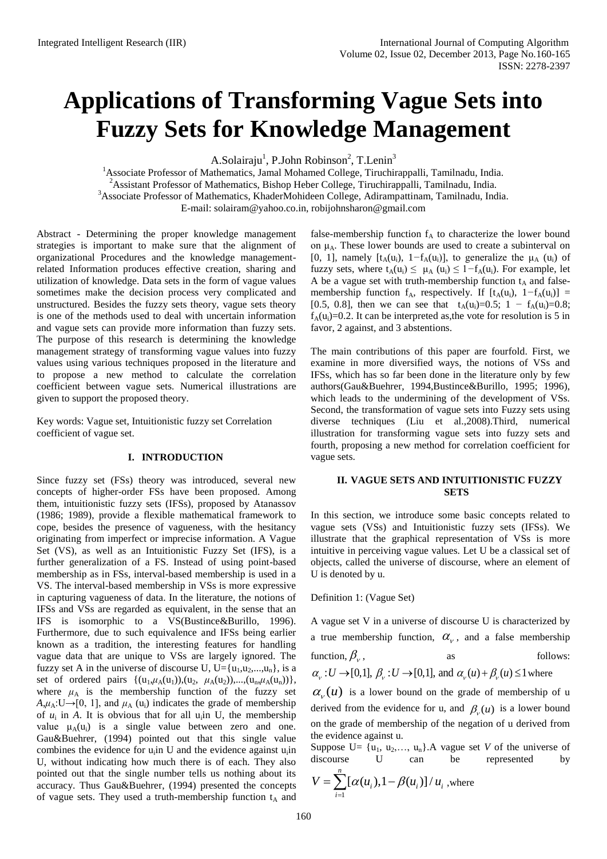# **Applications of Transforming Vague Sets into Fuzzy Sets for Knowledge Management**

A.Solairaju<sup>1</sup>, P.John Robinson<sup>2</sup>, T.Lenin<sup>3</sup>

<sup>1</sup>Associate Professor of Mathematics, Jamal Mohamed College, Tiruchirappalli, Tamilnadu, India. <sup>2</sup> Assistant Professor of Mathematics, Bishop Heber College, Tiruchirappalli, Tamilnadu, India. <sup>3</sup>Associate Professor of Mathematics, KhaderMohideen College, Adirampattinam, Tamilnadu, India. E-mail: [solairam@yahoo.co.in,](mailto:solairam@yahoo.co.in) [robijohnsharon@gmail.com](mailto:robijohnsharon@gmail.com)

Abstract - Determining the proper knowledge management strategies is important to make sure that the alignment of organizational Procedures and the knowledge managementrelated Information produces effective creation, sharing and utilization of knowledge. Data sets in the form of vague values sometimes make the decision process very complicated and unstructured. Besides the fuzzy sets theory, vague sets theory is one of the methods used to deal with uncertain information and vague sets can provide more information than fuzzy sets. The purpose of this research is determining the knowledge management strategy of transforming vague values into fuzzy values using various techniques proposed in the literature and to propose a new method to calculate the correlation coefficient between vague sets. Numerical illustrations are given to support the proposed theory.

Key words: Vague set, Intuitionistic fuzzy set Correlation coefficient of vague set.

## **I. INTRODUCTION**

Since fuzzy set (FSs) theory was introduced, several new concepts of higher-order FSs have been proposed. Among them, intuitionistic fuzzy sets (IFSs), proposed by Atanassov (1986; 1989), provide a flexible mathematical framework to cope, besides the presence of vagueness, with the hesitancy originating from imperfect or imprecise information. A Vague Set (VS), as well as an Intuitionistic Fuzzy Set (IFS), is a further generalization of a FS. Instead of using point-based membership as in FSs, interval-based membership is used in a VS. The interval-based membership in VSs is more expressive in capturing vagueness of data. In the literature, the notions of IFSs and VSs are regarded as equivalent, in the sense that an IFS is isomorphic to a VS(Bustince&Burillo, 1996). Furthermore, due to such equivalence and IFSs being earlier known as a tradition, the interesting features for handling vague data that are unique to VSs are largely ignored. The fuzzy set A in the universe of discourse U,  $U = {u_1, u_2,...,u_n}$ , is a set of ordered pairs  $\{(u_1,\mu_A(u_1)),(u_2, \mu_A(u_2)),...,(u_n,\mu_A(u_n))\},$ where  $\mu_A$  is the membership function of the fuzzy set  $A, \mu_A: U \rightarrow [0, 1]$ , and  $\mu_A(u_i)$  indicates the grade of membership of  $u_i$  in A. It is obvious that for all  $u_i$  in U, the membership value  $\mu_A(u_i)$  is a single value between zero and one. Gau&Buehrer, (1994) pointed out that this single value combines the evidence for  $u_i$ in U and the evidence against  $u_i$ in U, without indicating how much there is of each. They also pointed out that the single number tells us nothing about its accuracy. Thus Gau&Buehrer, (1994) presented the concepts of vague sets. They used a truth-membership function  $t_A$  and

false-membership function  $f_A$  to characterize the lower bound on  $\mu_A$ . These lower bounds are used to create a subinterval on [0, 1], namely  $[t_A(u_i), 1-f_A(u_i)]$ , to generalize the  $\mu_A(u_i)$  of fuzzy sets, where  $t_A(u_i) \leq \mu_A(u_i) \leq 1 - f_A(u_i)$ . For example, let A be a vague set with truth-membership function  $t_A$  and falsemembership function  $f_A$ , respectively. If  $[t_A(u_i), 1-f_A(u_i)] =$ [0.5, 0.8], then we can see that  $t_A(u_i)=0.5$ ; 1 *−*  $f_A(u_i)=0.8$ ;  $f_A(u_i)=0.2$ . It can be interpreted as, the vote for resolution is 5 in favor, 2 against, and 3 abstentions.

The main contributions of this paper are fourfold. First, we examine in more diversified ways, the notions of VSs and IFSs, which has so far been done in the literature only by few authors(Gau&Buehrer, 1994,Bustince&Burillo, 1995; 1996), which leads to the undermining of the development of VSs. Second, the transformation of vague sets into Fuzzy sets using diverse techniques (Liu et al.,2008).Third, numerical illustration for transforming vague sets into fuzzy sets and fourth, proposing a new method for correlation coefficient for vague sets.

### **II. VAGUE SETS AND INTUITIONISTIC FUZZY SETS**

In this section, we introduce some basic concepts related to vague sets (VSs) and Intuitionistic fuzzy sets (IFSs). We illustrate that the graphical representation of VSs is more intuitive in perceiving vague values. Let U be a classical set of objects, called the universe of discourse, where an element of U is denoted by u.

#### Definition 1: (Vague Set)

A vague set V in a universe of discourse U is characterized by a true membership function,  $\alpha_{v}$ , and a false membership function,  $\beta_{\nu}$ , as follows: function,  $\beta_{\nu}$ , as follows,  $\alpha_{\nu} : U \rightarrow [0,1], \beta_{\nu} : U \rightarrow [0,1],$  and  $\alpha_{\nu}(u) + \beta_{\nu}(u) \le 1$  where

 $\alpha_{v}(u)$  is a lower bound on the grade of membership of u derived from the evidence for u, and  $\beta_{\nu}(u)$  is a lower bound on the grade of membership of the negation of u derived from the evidence against u.

Suppose U=  $\{u_1, u_2, \ldots, u_n\}$ . A vague set *V* of the universe of discourse U can be represented by

$$
V = \sum_{i=1}^{n} [\alpha(u_i), 1 - \beta(u_i)] / u_i
$$
, where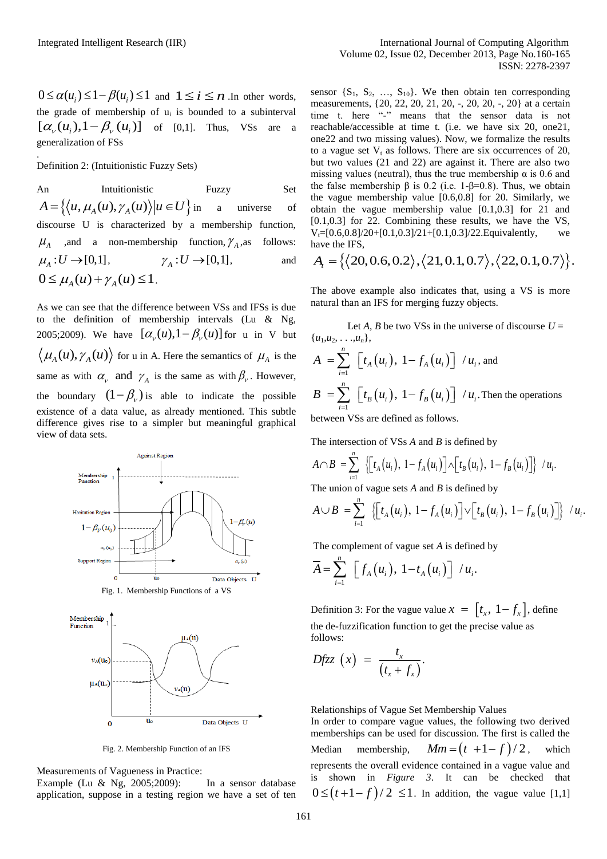and  $1 \le i \le n$  .In other words, the grade of membership of  $u_i$  is bounded to a subinterval  $[\alpha_{\nu}(u_i),1-\beta_{\nu}(u_i)]$  of [0,1]. Thus, VSs are a generalization of FSs

Definition 2: (Intuitionistic Fuzzy Sets)

.

An Intuitionistic Fuzzy Set  $A = \{ \langle u, \mu_A(u), \gamma_A(u) \rangle | u \in U \}$  in a universe of discourse U is characterized by a membership function,  $\mu_A$  , and a non-membership function,  $\gamma_A$ follows:  $\mu_A: U \rightarrow [0,1],$   $\gamma_A: U \rightarrow [0,1],$ and  $0 \leq \mu_{A}(u) + \gamma_{A}(u) \leq 1$ .

As we can see that the difference between VSs and IFSs is due to the definition of membership intervals (Lu & Ng, 2005;2009). We have  $\left[\alpha_{v}(u), 1-\beta_{v}(u)\right]$  for u in V but  $\mu_A(u), \gamma_A(u)$  for u in A. Here the semantics of  $\mu_A$  is the same as with  $\alpha_{v}$  and  $\gamma_{A}$  is the same as with  $\beta_{v}$ . However, the boundary  $(1 - \beta_v)$  is able to indicate the possible existence of a data value, as already mentioned. This subtle difference gives rise to a simpler but meaningful graphical view of data sets.



Fig. 2. Membership Function of an IFS

Measurements of Vagueness in Practice:

Example (Lu & Ng, 2005;2009): In a sensor database application, suppose in a testing region we have a set of ten

sensor  $\{S_1, S_2, ..., S_{10}\}$ . We then obtain ten corresponding measurements, {20, 22, 20, 21, 20, -, 20, 20, -, 20} at a certain time t. here "-" means that the sensor data is not reachable/accessible at time t. (i.e. we have six 20, one21, one22 and two missing values). Now, we formalize the results to a vague set  $V_t$  as follows. There are six occurrences of 20, but two values (21 and 22) are against it. There are also two missing values (neutral), thus the true membership  $\alpha$  is 0.6 and the false membership  $\beta$  is 0.2 (i.e. 1-β=0.8). Thus, we obtain the vague membership value [0.6,0.8] for 20. Similarly, we obtain the vague membership value [0.1,0.3] for 21 and [0.1,0.3] for 22. Combining these results, we have the VS, have the IFS,

$$
V_{t=}[0.6, 0.8]/20+[0.1, 0.3]/21+[0.1, 0.3]/22
$$
.Equivalently, we have the IFS,  

$$
A_{t} = \{ \langle 20, 0.6, 0.2 \rangle, \langle 21, 0.1, 0.7 \rangle, \langle 22, 0.1, 0.7 \rangle \}.
$$

The above example also indicates that, using a VS is more natural than an IFS for merging fuzzy objects.

Let *A*, *B* be two VSs in the universe of discourse  $U =$  $\{u_1, u_2, \ldots, u_n\},\$ 

$$
A = \sum_{i=1}^{n} \left[ t_A(u_i), 1 - f_A(u_i) \right] / u_i, \text{ and}
$$
  
\n
$$
B = \sum_{i=1}^{n} \left[ t_B(u_i), 1 - f_B(u_i) \right] / u_i.
$$
 Then the operations between VSs are defined as follows.

The intersection of VSS A and B is defined by  
\n
$$
A \cap B = \sum_{i=1}^{n} \left\{ \left[ t_A(u_i), 1 - f_A(u_i) \right] \wedge \left[ t_B(u_i), 1 - f_B(u_i) \right] \right\} / u_i.
$$

The union of vague sets A and B is defined by  
\n
$$
A \cup B = \sum_{i=1}^{n} \left\{ \left[ t_A(u_i), 1 - f_A(u_i) \right] \vee \left[ t_B(u_i), 1 - f_B(u_i) \right] \right\} / u_i.
$$

The complement of vague set *A* is defined by

$$
\overline{A} = \sum_{i=1}^n \left[ f_A(u_i), \ 1-t_A(u_i) \right] / u_i.
$$

Definition 3: For the vague value  $x = \begin{bmatrix} t_x, & 1 - f_x \end{bmatrix}$ , define the de-fuzzification function to get the precise value as follows:

$$
Dfzz(x) = \frac{t_x}{(t_x + f_x)}.
$$

Relationships of Vague Set Membership Values

In order to compare vague values, the following two derived memberships can be used for discussion. The first is called the Median membership,  $Mm = (t + 1 - f)/2$ , which represents the overall evidence contained in a vague value and is shown in *Figure 3*. It can be checked that  $0 \leq (t+1-f)/2 \leq 1$ . In addition, the vague value [1,1]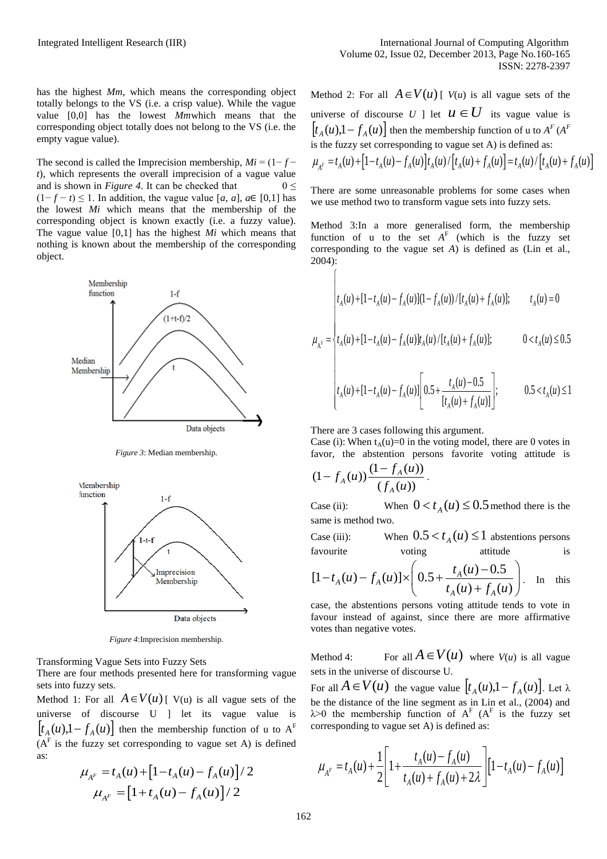has the highest *Mm*, which means the corresponding object totally belongs to the VS (i.e. a crisp value). While the vague value [0,0] has the lowest *Mm*which means that the corresponding object totally does not belong to the VS (i.e. the empty vague value).

The second is called the Imprecision membership,  $Mi = (1 - f$ *t*), which represents the overall imprecision of a vague value and is shown in *Figure 4*. It can be checked that  $0 \le$  $(1-f-t)$  ≤ 1. In addition, the vague value [*a*, *a*], *a*∈ [0,1] has the lowest *Mi* which means that the membership of the corresponding object is known exactly (i.e. a fuzzy value). The vague value [0,1] has the highest *Mi* which means that nothing is known about the membership of the corresponding object.



*Figure 3*: Median membership.



*Figure 4*:Imprecision membership.

Transforming Vague Sets into Fuzzy Sets

There are four methods presented here for transforming vague sets into fuzzy sets.

Method 1: For all  $A \in V(u)$  [ V(u) is all vague sets of the universe of discourse U ] let its vague value is  $\left[t_A(u), 1 - f_A(u)\right]$  then the membership function of u to  $A^F$  $(A<sup>F</sup>$  is the fuzzy set corresponding to vague set A) is defined as:

$$
\mu_{A^F} = t_A(u) + [1 - t_A(u) - f_A(u)]/2
$$

$$
\mu_{A^F} = [1 + t_A(u) - f_A(u)]/2
$$

Method 2: For all  $A \in V(u)$  [  $V(u)$  is all vague sets of the universe of discourse U ] let  $u \in U$  its vague value is  $\left[ t_A(u), 1 - f_A(u) \right]$  then the membership function of u to  $A^F(A^F)$ is the fuzzy set corresponding to vague set A) is defined as:  $\begin{aligned} \n\left[t_A(u), 1 - f_A(u)\right] \n\text{then the membership function of } u \text{ to } A^F(A^F) \n\end{aligned}$ <br> *i*s the fuzzy set corresponding to vague set A) is defined as:<br>  $\mu_{A^F} = t_A(u) + \left[1 - t_A(u) - f_A(u)\right] t_A(u) / \left[t_A(u) + f_A(u)\right] = t_A(u) / \left[t_A(u) + f_A(u)\right]$ 

There are some unreasonable problems for some cases when we use method two to transform vague sets into fuzzy sets.

Method 3:In a more generalised form, the membership function of u to the set  $A<sup>F</sup>$  (which is the fuzzy set corresponding to the vague set *A*) is defined as (Lin et al., 2004):

$$
\begin{cases} \displaystyle t_A(u) + [1-t_A(u)-f_A(u)](1-f_A(u))/[t_A(u)+f_A(u)]; \qquad \quad t_A(u)=0 \end{cases}
$$

$$
\mu_{A^F} = \begin{cases}\n t_A(u) + [1 - t_A(u) - f_A(u)]t_A(u) / [t_A(u) + f_A(u)]; & 0 < t_A(u) \le 0.5\n\end{cases}
$$

$$
\left| t_A(u) + [1 - t_A(u) - f_A(u)] \left[ 0.5 + \frac{t_A(u) - 0.5}{[t_A(u) + f_A(u)]} \right]; \right| \qquad 0.5 < t_A(u) \le 1
$$

There are 3 cases following this argument.

Case (i): When  $t_A(u)=0$  in the voting model, there are 0 votes in favor, the abstention persons favorite voting attitude is

$$
(1 - f_A(u)) \frac{(1 - f_A(u))}{(f_A(u))}.
$$

Case (ii):  $0 < t_A(u) \leq 0.5$  method there is the same is method two.

 $Case (iii):$  $0.5 < t_A(u) \leq 1$  abstentions persons favourite voting attitude is

favourite  
\n
$$
[1-t_A(u)-f_A(u)] \times \left(0.5 + \frac{t_A(u)-0.5}{t_A(u)+f_A(u)}\right).
$$
 In this

case, the abstentions persons voting attitude tends to vote in favour instead of against, since there are more affirmative votes than negative votes.

Method  $4$ <sup>.</sup>  $A \in V(u)$  where  $V(u)$  is all vague sets in the universe of discourse U.

For all  $A \in V(u)$  the vague value  $[t_A(u), 1 - f_A(u)]$ . Let  $\lambda$ be the distance of the line segment as in Lin et al., (2004) and  $\lambda > 0$  the membership function of  $A^F$  ( $A^F$  is the fuzzy set corresponding to vague set A) is defined as:

$$
\mu_{A^F} = t_A(u) + \frac{1}{2} \left[ 1 + \frac{t_A(u) - f_A(u)}{t_A(u) + f_A(u) + 2\lambda} \right] \left[ 1 - t_A(u) - f_A(u) \right]
$$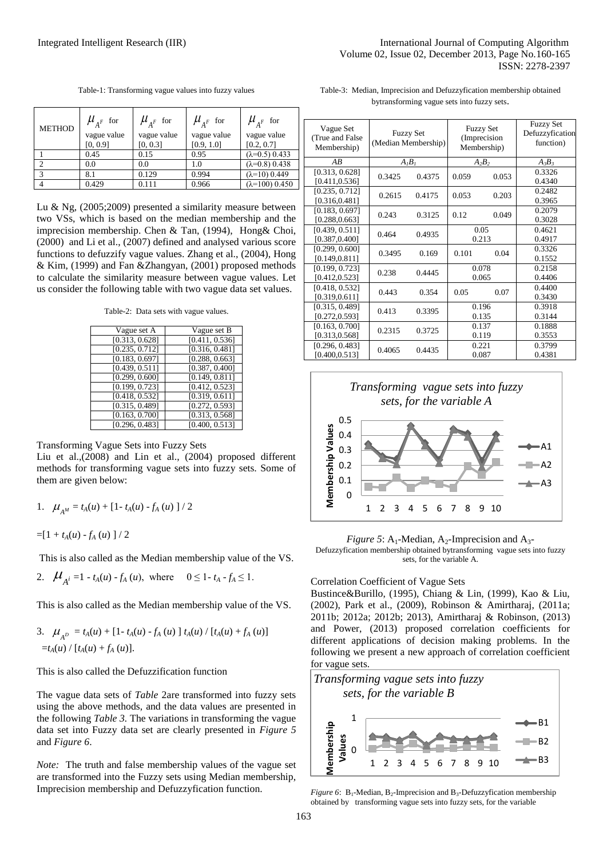| <b>METHOD</b> | $\mu_{A^F}$ for<br>vague value<br>[0, 0.9] | $\mu_{A^F}$ for<br>vague value<br>[0, 0.3] | $\mu_{A^F}$ for<br>vague value<br>[0.9, 1.0] | $\mu_{A^F}$ for<br>vague value<br>[0.2, 0.7] |
|---------------|--------------------------------------------|--------------------------------------------|----------------------------------------------|----------------------------------------------|
|               | 0.45                                       | 0.15                                       | 0.95                                         | $(\lambda=0.5)$ 0.433                        |
|               | 0.0                                        | 0.0                                        | 1.0                                          | $(\lambda=0.8)$ 0.438                        |
| $\mathcal{R}$ | 8.1                                        | 0.129                                      | 0.994                                        | $(\lambda=10)$ 0.449                         |
|               | 0.429                                      | 0.111                                      | 0.966                                        | $(\lambda=100)$ 0.450                        |

Table-1: Transforming vague values into fuzzy values

Table-3: Median, Imprecision and Defuzzyfication membership obtained bytransforming vague sets into fuzzy sets.

| Lu & Ng, $(2005;2009)$ presented a similarity measure between   |
|-----------------------------------------------------------------|
| two VSs, which is based on the median membership and the        |
| imprecision membership. Chen & Tan, (1994), Hong & Choi,        |
| (2000) and Li et al., (2007) defined and analysed various score |
| functions to defuzzify vague values. Zhang et al., (2004), Hong |
| & Kim, (1999) and Fan &Zhangyan, (2001) proposed methods        |
| to calculate the similarity measure between vague values. Let   |
| us consider the following table with two vague data set values. |

Table-2: Data sets with vague values.

| Vague set A                 | Vague set B    |
|-----------------------------|----------------|
| [0.313, 0.628]              | [0.411, 0.536] |
| [0.235, 0.712]              | [0.316, 0.481] |
| [0.183, 0.697]              | [0.288, 0.663] |
| [0.439, 0.511]              | [0.387, 0.400] |
| [0.299, 0.600]              | [0.149, 0.811] |
| [0.199, 0.723]              | [0.412, 0.523] |
| $\overline{[0.418, 0.532]}$ | [0.319, 0.611] |
| [0.315, 0.489]              | [0.272, 0.593] |
| [0.163, 0.700]              | [0.313, 0.568] |
| [0.296, 0.483]              | [0.400, 0.513] |

Transforming Vague Sets into Fuzzy Sets

Liu et al.,(2008) and Lin et al., (2004) proposed different methods for transforming vague sets into fuzzy sets. Some of them are given below:

1. 
$$
\mu_{A^M} = t_A(u) + [1 - t_A(u) - f_A(u)] / 2
$$

 $=[1 + t_A(u) - f_A(u)]/2$ 

This is also called as the Median membership value of the VS.

2. 
$$
\mu_{A^i} = 1 - t_A(u) - f_A(u)
$$
, where  $0 \le 1 - t_A - f_A \le 1$ .

This is also called as the Median membership value of the VS.

3. 
$$
\mu_{A^D} = t_A(u) + [1 - t_A(u) - f_A(u)] t_A(u) / [t_A(u) + f_A(u)]
$$
  
=  $t_A(u) / [t_A(u) + f_A(u)].$ 

This is also called the Defuzzification function

The vague data sets of *Table* 2are transformed into fuzzy sets using the above methods, and the data values are presented in the following *Table 3.* The variations in transforming the vague data set into Fuzzy data set are clearly presented in *Figure 5* and *Figure 6*.

*Note:* The truth and false membership values of the vague set are transformed into the Fuzzy sets using Median membership, Imprecision membership and Defuzzyfication function.

| Vague Set<br>(True and False<br>Membership) | <b>Fuzzy Set</b><br>(Median Membership) |        | <b>Fuzzy Set</b><br>(Imprecision)<br>Membership) |       | <b>Fuzzy Set</b><br>Defuzzyfication<br>function) |
|---------------------------------------------|-----------------------------------------|--------|--------------------------------------------------|-------|--------------------------------------------------|
| AB                                          | A <sub>I</sub> B <sub>I</sub>           |        | $A_2B_2$                                         |       | $A_3B_3$                                         |
| [0.313, 0.628]<br>[0.411, 0.536]            | 0.3425                                  | 0.4375 | 0.059                                            | 0.053 | 0.3326<br>0.4340                                 |
| [0.235, 0.712]<br>[0.316, 0.481]            | 0.2615                                  | 0.4175 | 0.053                                            | 0.203 | 0.2482<br>0.3965                                 |
| [0.183, 0.697]<br>[0.288, 0.663]            | 0.243                                   | 0.3125 | 0.12                                             | 0.049 | 0.2079<br>0.3028                                 |
| [0.439, 0.511]<br>[0.387, 0.400]            | 0.464                                   | 0.4935 | 0.05<br>0.213                                    |       | 0.4621<br>0.4917                                 |
| [0.299, 0.600]<br>[0.149, 0.811]            | 0.3495                                  | 0.169  | 0.101                                            | 0.04  | 0.3326<br>0.1552                                 |
| [0.199, 0.723]<br>[0.412, 0.523]            | 0.238                                   | 0.4445 | 0.078<br>0.065                                   |       | 0.2158<br>0.4406                                 |
| [0.418, 0.532]<br>[0.319, 0.611]            | 0.443                                   | 0.354  | 0.05                                             | 0.07  | 0.4400<br>0.3430                                 |
| [0.315, 0.489]<br>[0.272, 0.593]            | 0.413                                   | 0.3395 | 0.196<br>0.135                                   |       | 0.3918<br>0.3144                                 |
| [0.163, 0.700]<br>[0.313, 0.568]            | 0.2315                                  | 0.3725 | 0.137<br>0.119                                   |       | 0.1888<br>0.3553                                 |
| [0.296, 0.483]<br>[0.400, 0.513]            | 0.4065                                  | 0.4435 | 0.221<br>0.087                                   |       | 0.3799<br>0.4381                                 |



*Figure 5*:  $A_1$ -Median,  $A_2$ -Imprecision and  $A_3$ -Defuzzyfication membership obtained bytransforming vague sets into fuzzy sets, for the variable A.

#### Correlation Coefficient of Vague Sets

Bustince&Burillo, (1995), Chiang & Lin, (1999), Kao & Liu, (2002), Park et al., (2009), Robinson & Amirtharaj, (2011a; 2011b; 2012a; 2012b; 2013), Amirtharaj & Robinson, (2013) and Power, (2013) proposed correlation coefficients for different applications of decision making problems. In the following we present a new approach of correlation coefficient for vague sets.



*Figure 6*: B<sub>1</sub>-Median, B<sub>2</sub>-Imprecision and B<sub>3</sub>-Defuzzyfication membership obtained by transforming vague sets into fuzzy sets, for the variable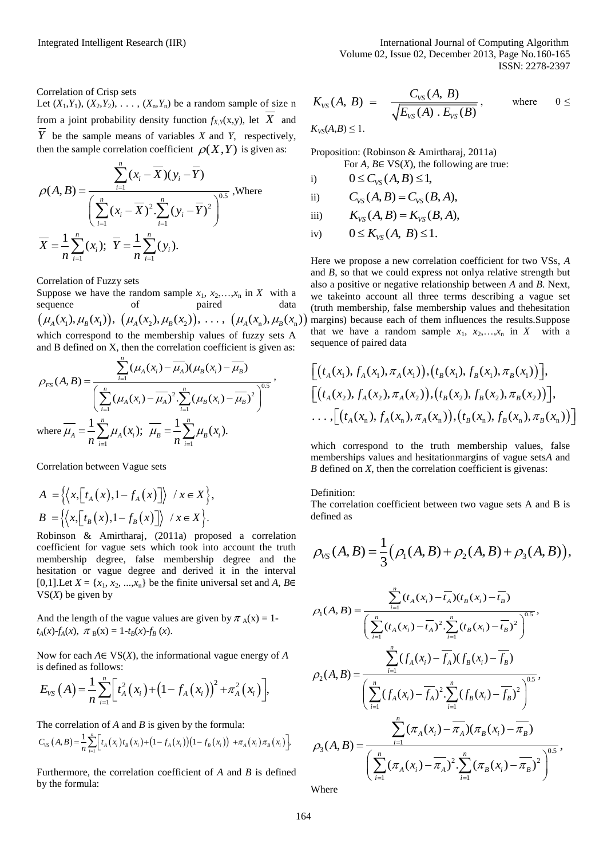Correlation of Crisp sets

Let  $(X_1, Y_1)$ ,  $(X_2, Y_2)$ , ...,  $(X_n, Y_n)$  be a random sample of size n from a joint probability density function  $f_{X,Y}(x,y)$ , let  $X$  and *Y* be the sample means of variables *X* and *Y*, respectively,

then the sample correlation coefficient 
$$
\rho(X, Y)
$$
 is given as:  
\n
$$
\rho(A, B) = \frac{\sum_{i=1}^{n} (x_i - \overline{X})(y_i - \overline{Y})}{\left(\sum_{i=1}^{n} (x_i - \overline{X})^2 \cdot \sum_{i=1}^{n} (y_i - \overline{Y})^2\right)^{0.5}}, \text{Where}
$$
\n
$$
\overline{X} = \frac{1}{n} \sum_{i=1}^{n} (x_i); \ \overline{Y} = \frac{1}{n} \sum_{i=1}^{n} (y_i).
$$

Correlation of Fuzzy sets

Suppose we have the random sample  $x_1, x_2, \ldots, x_n$  in *X* with a sequence of paired data  $\left(\mu_{A}(x_{1}), \mu_{B}(x_{1})\right), \, \left(\mu_{A}(x_{2}), \mu_{B}(x_{2})\right), \, \ldots, \, \left(\mu_{A}(x_{n}), \mu_{B}(x_{n})\right)$ which correspond to the membership values of fuzzy sets A

which corresponds to the inemology, the  
and B defined on X, then the correlation coefficient is given as:

\n
$$
\rho_{FS}(A, B) = \frac{\sum_{i=1}^{n} (\mu_A(x_i) - \overline{\mu_A})(\mu_B(x_i) - \overline{\mu_B})}{\left(\sum_{i=1}^{n} (\mu_A(x_i) - \overline{\mu_A})^2 \cdot \sum_{i=1}^{n} (\mu_B(x_i) - \overline{\mu_B})^2\right)^{0.5}},
$$
\nwhere

\n
$$
\mu_A = \frac{1}{n} \sum_{i=1}^{n} \mu_A(x_i); \quad \overline{\mu_B} = \frac{1}{n} \sum_{i=1}^{n} \mu_B(x_i).
$$

Correlation between Vague sets

$$
A = \left\{ \left\langle x, \left[ t_A(x), 1 - f_A(x) \right] \right\rangle / x \in X \right\},\
$$
  

$$
B = \left\{ \left\langle x, \left[ t_B(x), 1 - f_B(x) \right] \right\rangle / x \in X \right\}.
$$

Robinson & Amirtharaj, (2011a) proposed a correlation coefficient for vague sets which took into account the truth membership degree, false membership degree and the hesitation or vague degree and derived it in the interval [0,1]. Let  $X = \{x_1, x_2, \ldots, x_n\}$  be the finite universal set and  $A, B \in$ VS(*X*) be given by

And the length of the vague values are given by  $\pi_A(x) = 1$  $t_A(x)$ - $f_A(x)$ ,  $\pi_B(x) = 1$ - $t_B(x)$ - $f_B(x)$ .

Now for each *A*∈ VS(*X*), the informational vague energy of *A* is defined as follows:

is defined as follows:  
\n
$$
E_{\text{VS}}(A) = \frac{1}{n} \sum_{i=1}^{n} \left[ t_A^2(x_i) + (1 - f_A(x_i))^2 + \pi_A^2(x_i) \right],
$$

The correlation of *A* and *B* is given by the formula:

The correlation of *A* and *B* is given by the formula:  
\n
$$
C_{vs}(A, B) = \frac{1}{n} \sum_{i=1}^{n} \Big[ t_A(x_i) t_B(x_i) + (1 - f_A(x_i))(1 - f_B(x_i)) + \pi_A(x_i) \pi_B(x_i) \Big],
$$
\n
$$
Q_3(
$$

Furthermore, the correlation coefficient of *A* and *B* is defined by the formula:

$$
K_{VS}(A, B) = \frac{C_{VS}(A, B)}{\sqrt{E_{VS}(A) \cdot E_{VS}(B)}}, \quad \text{where} \quad 0 \le K_{VS}(A, B) \le 1.
$$

Proposition: (Robinson & Amirtharaj, 2011a)

For *A*, *B*
$$
\in
$$
 VS(*X*), the following are true:

i) 
$$
0 \leq C_{\text{VS}}(A,B) \leq 1,
$$

ii) 
$$
C_{VS}(A, B) = C_{VS}(B, A),
$$

iii) 
$$
K_{VS}(A, B) = K_{VS}(B, A),
$$

$$
iv) \qquad 0 \le K_{VS}(A, B) \le 1.
$$

Here we propose a new correlation coefficient for two VSs, *A* and *B*, so that we could express not onlya relative strength but also a positive or negative relationship between *A* and *B*. Next, we takeinto account all three terms describing a vague set (truth membership, false membership values and thehesitation margins) because each of them influences the results.Suppose that we have a random sample  $x_1, x_2,...,x_n$  in X with a sequence of paired data

sequence of paired data  
\n
$$
\begin{aligned}\n&\left[\left(t_A(x_1), f_A(x_1), \pi_A(x_1)\right), \left(t_B(x_1), f_B(x_1), \pi_B(x_1)\right)\right], \\
&\left[\left(t_A(x_2), f_A(x_2), \pi_A(x_2)\right), \left(t_B(x_2), f_B(x_2), \pi_B(x_2)\right)\right], \\
&\dots, \left[\left(t_A(x_n), f_A(x_n), \pi_A(x_n)\right), \left(t_B(x_n), f_B(x_n), \pi_B(x_n)\right)\right]\n\end{aligned}
$$

which correspond to the truth membership values, false memberships values and hesitationmargins of vague sets*A* and *B* defined on *X*, then the correlation coefficient is givenas:

Definition:

The correlation coefficient between two vague sets A and B is defined as

$$
\rho_{VS}(A,B) = \frac{1}{3} (\rho_1(A,B) + \rho_2(A,B) + \rho_3(A,B)),
$$

$$
\rho_{1}(A,B) = \frac{\sum_{i=1}^{n} (t_{A}(x_{i}) - \overline{t_{A}})(t_{B}(x_{i}) - \overline{t_{B}})}{\left(\sum_{i=1}^{n} (t_{A}(x_{i}) - \overline{t_{A}})^{2} \cdot \sum_{i=1}^{n} (t_{B}(x_{i}) - \overline{t_{B}})^{2}\right)^{0.5}},
$$
\n
$$
\rho_{2}(A,B) = \frac{\sum_{i=1}^{n} (f_{A}(x_{i}) - \overline{f_{A}})(f_{B}(x_{i}) - \overline{f_{B}})}{\left(\sum_{i=1}^{n} (f_{A}(x_{i}) - \overline{f_{A}})^{2} \cdot \sum_{i=1}^{n} (f_{B}(x_{i}) - \overline{f_{B}})^{2}\right)^{0.5}},
$$
\n
$$
\rho_{3}(A,B) = \frac{\sum_{i=1}^{n} (\pi_{A}(x_{i}) - \pi_{A})(\pi_{B}(x_{i}) - \pi_{B})}{\left(\sum_{i=1}^{n} (\pi_{A}(x_{i}) - \overline{\pi_{A}})^{2} \cdot \sum_{i=1}^{n} (\pi_{B}(x_{i}) - \overline{\pi_{B}})^{2}\right)^{0.5}},
$$
\nWhere

Where